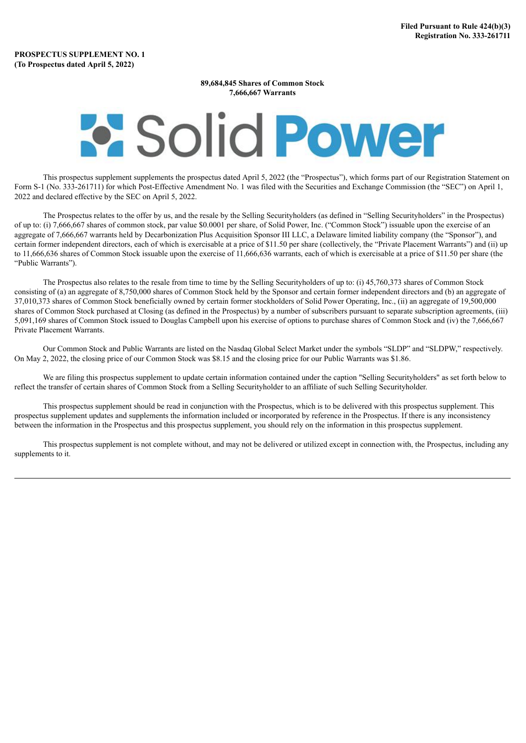## **89,684,845 Shares of Common Stock 7,666,667 Warrants**

## **Solid Power**

This prospectus supplement supplements the prospectus dated April 5, 2022 (the "Prospectus"), which forms part of our Registration Statement on Form S-1 (No. 333-261711) for which Post-Effective Amendment No. 1 was filed with the Securities and Exchange Commission (the "SEC") on April 1, 2022 and declared effective by the SEC on April 5, 2022.

The Prospectus relates to the offer by us, and the resale by the Selling Securityholders (as defined in "Selling Securityholders" in the Prospectus) of up to: (i) 7,666,667 shares of common stock, par value \$0.0001 per share, of Solid Power, Inc. ("Common Stock") issuable upon the exercise of an aggregate of 7,666,667 warrants held by Decarbonization Plus Acquisition Sponsor III LLC, a Delaware limited liability company (the "Sponsor"), and certain former independent directors, each of which is exercisable at a price of \$11.50 per share (collectively, the "Private Placement Warrants") and (ii) up to 11,666,636 shares of Common Stock issuable upon the exercise of 11,666,636 warrants, each of which is exercisable at a price of \$11.50 per share (the "Public Warrants").

The Prospectus also relates to the resale from time to time by the Selling Securityholders of up to: (i) 45,760,373 shares of Common Stock consisting of (a) an aggregate of 8,750,000 shares of Common Stock held by the Sponsor and certain former independent directors and (b) an aggregate of 37,010,373 shares of Common Stock beneficially owned by certain former stockholders of Solid Power Operating, Inc., (ii) an aggregate of 19,500,000 shares of Common Stock purchased at Closing (as defined in the Prospectus) by a number of subscribers pursuant to separate subscription agreements, (iii) 5,091,169 shares of Common Stock issued to Douglas Campbell upon his exercise of options to purchase shares of Common Stock and (iv) the 7,666,667 Private Placement Warrants.

Our Common Stock and Public Warrants are listed on the Nasdaq Global Select Market under the symbols "SLDP" and "SLDPW," respectively. On May 2, 2022, the closing price of our Common Stock was \$8.15 and the closing price for our Public Warrants was \$1.86.

We are filing this prospectus supplement to update certain information contained under the caption "Selling Securityholders" as set forth below to reflect the transfer of certain shares of Common Stock from a Selling Securityholder to an affiliate of such Selling Securityholder.

This prospectus supplement should be read in conjunction with the Prospectus, which is to be delivered with this prospectus supplement. This prospectus supplement updates and supplements the information included or incorporated by reference in the Prospectus. If there is any inconsistency between the information in the Prospectus and this prospectus supplement, you should rely on the information in this prospectus supplement.

This prospectus supplement is not complete without, and may not be delivered or utilized except in connection with, the Prospectus, including any supplements to it.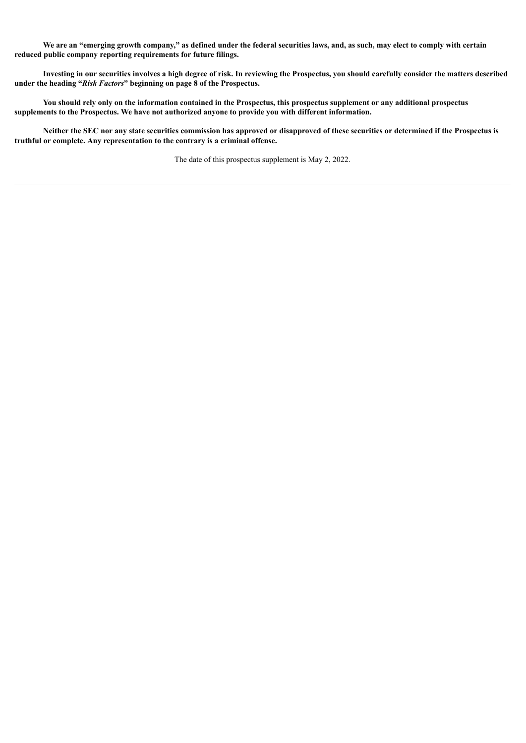We are an "emerging growth company," as defined under the federal securities laws, and, as such, may elect to comply with certain **reduced public company reporting requirements for future filings.**

Investing in our securities involves a high degree of risk. In reviewing the Prospectus, you should carefully consider the matters described **under the heading "***Risk Factors***" beginning on page 8 of the Prospectus.**

You should rely only on the information contained in the Prospectus, this prospectus supplement or any additional prospectus **supplements to the Prospectus. We have not authorized anyone to provide you with different information.**

Neither the SEC nor any state securities commission has approved or disapproved of these securities or determined if the Prospectus is **truthful or complete. Any representation to the contrary is a criminal offense.**

The date of this prospectus supplement is May 2, 2022.